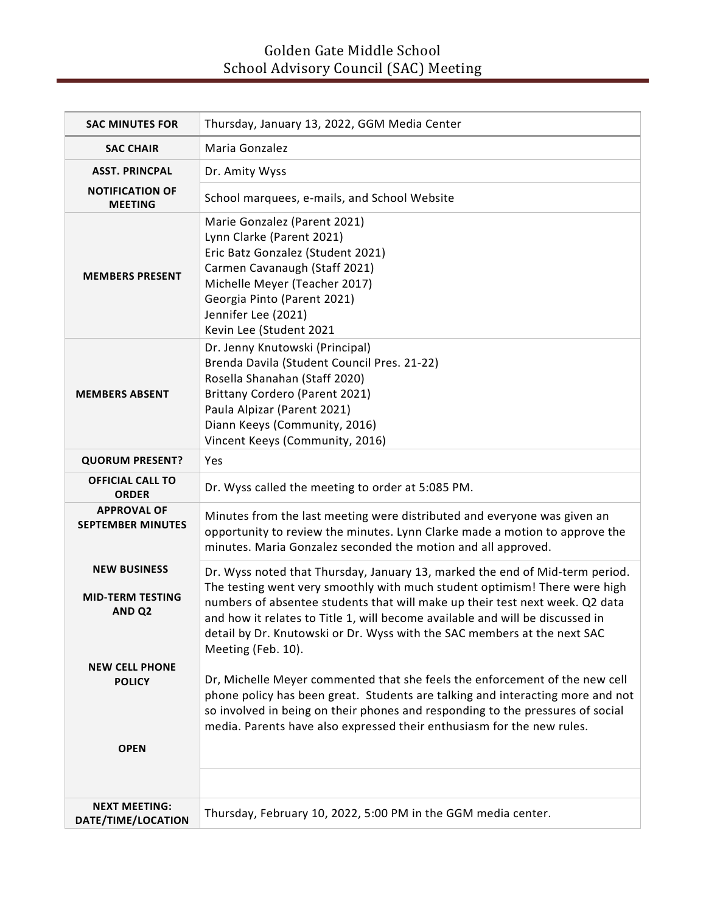| <b>SAC MINUTES FOR</b>                                                                                        | Thursday, January 13, 2022, GGM Media Center                                                                                                                                                                                                                                                                                                                                                                                                                                                                                                                                                                                                                                                                                                               |
|---------------------------------------------------------------------------------------------------------------|------------------------------------------------------------------------------------------------------------------------------------------------------------------------------------------------------------------------------------------------------------------------------------------------------------------------------------------------------------------------------------------------------------------------------------------------------------------------------------------------------------------------------------------------------------------------------------------------------------------------------------------------------------------------------------------------------------------------------------------------------------|
| <b>SAC CHAIR</b>                                                                                              | Maria Gonzalez                                                                                                                                                                                                                                                                                                                                                                                                                                                                                                                                                                                                                                                                                                                                             |
| <b>ASST. PRINCPAL</b>                                                                                         | Dr. Amity Wyss                                                                                                                                                                                                                                                                                                                                                                                                                                                                                                                                                                                                                                                                                                                                             |
| <b>NOTIFICATION OF</b><br><b>MEETING</b>                                                                      | School marquees, e-mails, and School Website                                                                                                                                                                                                                                                                                                                                                                                                                                                                                                                                                                                                                                                                                                               |
| <b>MEMBERS PRESENT</b>                                                                                        | Marie Gonzalez (Parent 2021)<br>Lynn Clarke (Parent 2021)<br>Eric Batz Gonzalez (Student 2021)<br>Carmen Cavanaugh (Staff 2021)<br>Michelle Meyer (Teacher 2017)<br>Georgia Pinto (Parent 2021)<br>Jennifer Lee (2021)<br>Kevin Lee (Student 2021                                                                                                                                                                                                                                                                                                                                                                                                                                                                                                          |
| <b>MEMBERS ABSENT</b>                                                                                         | Dr. Jenny Knutowski (Principal)<br>Brenda Davila (Student Council Pres. 21-22)<br>Rosella Shanahan (Staff 2020)<br>Brittany Cordero (Parent 2021)<br>Paula Alpizar (Parent 2021)<br>Diann Keeys (Community, 2016)<br>Vincent Keeys (Community, 2016)                                                                                                                                                                                                                                                                                                                                                                                                                                                                                                       |
| <b>QUORUM PRESENT?</b>                                                                                        | Yes                                                                                                                                                                                                                                                                                                                                                                                                                                                                                                                                                                                                                                                                                                                                                        |
| <b>OFFICIAL CALL TO</b><br><b>ORDER</b>                                                                       | Dr. Wyss called the meeting to order at 5:085 PM.                                                                                                                                                                                                                                                                                                                                                                                                                                                                                                                                                                                                                                                                                                          |
| <b>APPROVAL OF</b><br><b>SEPTEMBER MINUTES</b>                                                                | Minutes from the last meeting were distributed and everyone was given an<br>opportunity to review the minutes. Lynn Clarke made a motion to approve the<br>minutes. Maria Gonzalez seconded the motion and all approved.                                                                                                                                                                                                                                                                                                                                                                                                                                                                                                                                   |
| <b>NEW BUSINESS</b><br><b>MID-TERM TESTING</b><br>AND <sub>Q2</sub><br><b>NEW CELL PHONE</b><br><b>POLICY</b> | Dr. Wyss noted that Thursday, January 13, marked the end of Mid-term period.<br>The testing went very smoothly with much student optimism! There were high<br>numbers of absentee students that will make up their test next week. Q2 data<br>and how it relates to Title 1, will become available and will be discussed in<br>detail by Dr. Knutowski or Dr. Wyss with the SAC members at the next SAC<br>Meeting (Feb. 10).<br>Dr, Michelle Meyer commented that she feels the enforcement of the new cell<br>phone policy has been great. Students are talking and interacting more and not<br>so involved in being on their phones and responding to the pressures of social<br>media. Parents have also expressed their enthusiasm for the new rules. |
| <b>OPEN</b>                                                                                                   |                                                                                                                                                                                                                                                                                                                                                                                                                                                                                                                                                                                                                                                                                                                                                            |
|                                                                                                               |                                                                                                                                                                                                                                                                                                                                                                                                                                                                                                                                                                                                                                                                                                                                                            |
| <b>NEXT MEETING:</b><br>DATE/TIME/LOCATION                                                                    | Thursday, February 10, 2022, 5:00 PM in the GGM media center.                                                                                                                                                                                                                                                                                                                                                                                                                                                                                                                                                                                                                                                                                              |